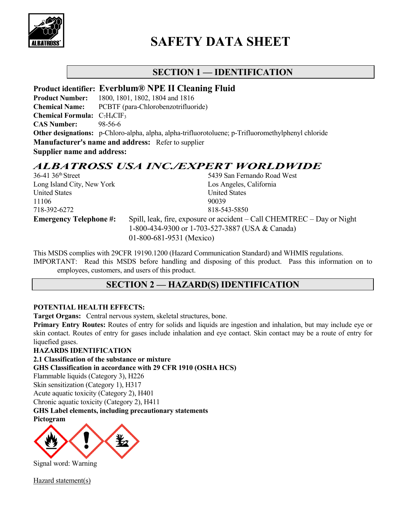

# **SAFETY DATA SHEET**

# **SECTION 1 — IDENTIFICATION**

### **Product identifier: Everblum® NPE II Cleaning Fluid**

**Product Number:** 1800, 1801, 1802, 1804 and 1816 **Chemical Name:** PCBTF (para-Chlorobenzotrifluoride) **Chemical Formula:** C<sub>7</sub>H<sub>4</sub>CIF<sub>3</sub> **CAS Number:** 98-56-6 **Other designations:** p-Chloro-alpha, alpha, alpha-trifluorotoluene; p-Trifluoromethylphenyl chloride **Manufacturer's name and address:** Refer to supplier **Supplier name and address:**

# *ALBATROSS USA INC./EXPERT WORLDWIDE*

| $36-41$ 36 <sup>th</sup> Street | 5439 San Fernando Road West                                            |
|---------------------------------|------------------------------------------------------------------------|
| Long Island City, New York      | Los Angeles, California                                                |
| <b>United States</b>            | <b>United States</b>                                                   |
| 11106                           | 90039                                                                  |
| 718-392-6272                    | 818-543-5850                                                           |
| <b>Emergency Telephone #:</b>   | Spill, leak, fire, exposure or accident – Call CHEMTREC – Day or Night |
|                                 | 1-800-434-9300 or 1-703-527-3887 (USA & Canada)                        |
|                                 | 01-800-681-9531 (Mexico)                                               |

This MSDS complies with 29CFR 19190.1200 (Hazard Communication Standard) and WHMIS regulations. IMPORTANT: Read this MSDS before handling and disposing of this product. Pass this information on to employees, customers, and users of this product.

# **SECTION 2 — HAZARD(S) IDENTIFICATION**

### **POTENTIAL HEALTH EFFECTS:**

**Target Organs:** Central nervous system, skeletal structures, bone.

**Primary Entry Routes:** Routes of entry for solids and liquids are ingestion and inhalation, but may include eye or skin contact. Routes of entry for gases include inhalation and eye contact. Skin contact may be a route of entry for liquefied gases.

### **HAZARDS IDENTIFICATION**

**2.1 Classification of the substance or mixture**

**GHS Classification in accordance with 29 CFR 1910 (OSHA HCS)**

Flammable liquids (Category 3), H226

Skin sensitization (Category 1), H317

Acute aquatic toxicity (Category 2), H401

Chronic aquatic toxicity (Category 2), H411

**GHS Label elements, including precautionary statements**

**Pictogram**



Signal word: Warning

Hazard statement(s)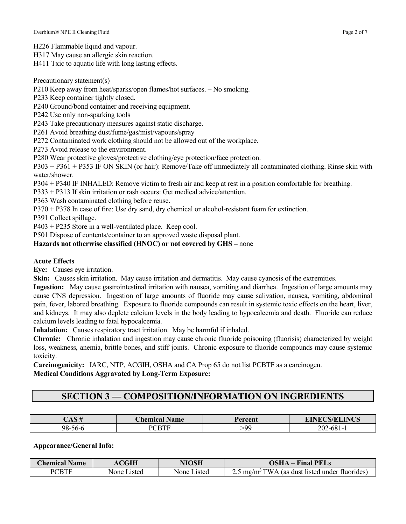H226 Flammable liquid and vapour.

H317 May cause an allergic skin reaction.

H411 Txic to aquatic life with long lasting effects.

#### Precautionary statement(s)

P210 Keep away from heat/sparks/open flames/hot surfaces. – No smoking.

P233 Keep container tightly closed.

P240 Ground/bond container and receiving equipment.

P242 Use only non-sparking tools

P243 Take precautionary measures against static discharge.

P261 Avoid breathing dust/fume/gas/mist/vapours/spray

P272 Contaminated work clothing should not be allowed out of the workplace.

P273 Avoid release to the environment.

P280 Wear protective gloves/protective clothing/eye protection/face protection.

P303 + P361 + P353 IF ON SKIN (or hair): Remove/Take off immediately all contaminated clothing. Rinse skin with water/shower.

P304 + P340 IF INHALED: Remove victim to fresh air and keep at rest in a position comfortable for breathing.

P333 + P313 If skin irritation or rash occurs: Get medical advice/attention.

P363 Wash contaminated clothing before reuse.

P370 + P378 In case of fire: Use dry sand, dry chemical or alcohol-resistant foam for extinction.

P391 Collect spillage.

P403 + P235 Store in a well-ventilated place. Keep cool.

P501 Dispose of contents/container to an approved waste disposal plant.

#### **Hazards not otherwise classified (HNOC) or not covered by GHS –** none

#### **Acute Effects**

**Eye:** Causes eye irritation.

**Skin:** Causes skin irritation. May cause irritation and dermatitis. May cause cyanosis of the extremities.

**Ingestion:** May cause gastrointestinal irritation with nausea, vomiting and diarrhea. Ingestion of large amounts may cause CNS depression. Ingestion of large amounts of fluoride may cause salivation, nausea, vomiting, abdominal pain, fever, labored breathing. Exposure to fluoride compounds can result in systemic toxic effects on the heart, liver, and kidneys. It may also deplete calcium levels in the body leading to hypocalcemia and death. Fluoride can reduce calcium levels leading to fatal hypocalcemia.

**Inhalation:** Causes respiratory tract irritation. May be harmful if inhaled.

**Chronic:** Chronic inhalation and ingestion may cause chronic fluoride poisoning (fluorisis) characterized by weight loss, weakness, anemia, brittle bones, and stiff joints. Chronic exposure to fluoride compounds may cause systemic toxicity.

**Carcinogenicity:** IARC, NTP, ACGIH, OSHA and CA Prop 65 do not list PCBTF as a carcinogen. **Medical Conditions Aggravated by Long-Term Exposure:**

# **SECTION 3 — COMPOSITION/INFORMATION ON INGREDIENTS**

| $\lnot$ a $\lnot \lnot$<br><del>11 כתו</del> | Name<br><b>Chemical</b> . | Percent | <b>EINECS/ELINCS</b> |
|----------------------------------------------|---------------------------|---------|----------------------|
| 98-56-6                                      | DCDTE                     | -00     | $202 - 681 - 1$      |

**Appearance/General Info:**

| <b>Chemical Name</b> | CGIH        | NIOSH       | <b>OSHA</b> – Final PELs                                  |
|----------------------|-------------|-------------|-----------------------------------------------------------|
| <b>PCBTF</b>         | None Listed | None Listed | $2.5 \text{ mg/m}^3$ TWA (as dust listed under fluorides) |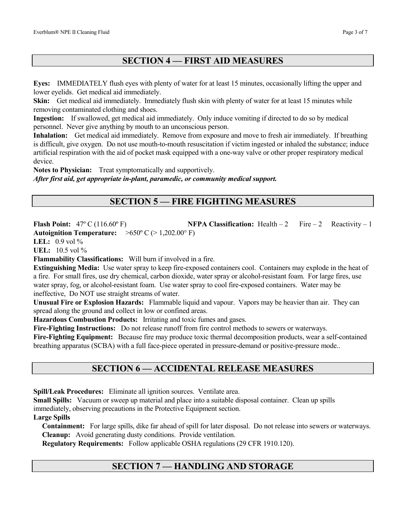# **SECTION 4 — FIRST AID MEASURES**

**Eyes:** IMMEDIATELY flush eyes with plenty of water for at least 15 minutes, occasionally lifting the upper and lower eyelids. Get medical aid immediately.

**Skin:** Get medical aid immediately. Immediately flush skin with plenty of water for at least 15 minutes while removing contaminated clothing and shoes.

**Ingestion:** If swallowed, get medical aid immediately. Only induce vomiting if directed to do so by medical personnel. Never give anything by mouth to an unconscious person.

**Inhalation:** Get medical aid immediately. Remove from exposure and move to fresh air immediately. If breathing is difficult, give oxygen. Do not use mouth-to-mouth resuscitation if victim ingested or inhaled the substance; induce artificial respiration with the aid of pocket mask equipped with a one-way valve or other proper respiratory medical device.

**Notes to Physician:** Treat symptomatically and supportively. *After first aid, get appropriate in-plant, paramedic, or community medical support.*

# **SECTION 5 — FIRE FIGHTING MEASURES**

Flash Point:  $47^{\circ}$  C (116.60°F) **NFPA Classification:** Health – 2 Fire – 2 Reactivity – 1 **Autoignition Temperature:** >650º C (> 1,202.00° F)

**LEL:** 0.9 vol %

**UEL:** 10.5 vol %

**Flammability Classifications:** Will burn if involved in a fire.

**Extinguishing Media:** Use water spray to keep fire-exposed containers cool. Containers may explode in the heat of a fire. For small fires, use dry chemical, carbon dioxide, water spray or alcohol-resistant foam. For large fires, use water spray, fog, or alcohol-resistant foam. Use water spray to cool fire-exposed containers. Water may be ineffective, Do NOT use straight streams of water.

**Unusual Fire or Explosion Hazards:** Flammable liquid and vapour. Vapors may be heavier than air. They can spread along the ground and collect in low or confined areas.

**Hazardous Combustion Products:** Irritating and toxic fumes and gases.

**Fire-Fighting Instructions:** Do not release runoff from fire control methods to sewers or waterways.

**Fire-Fighting Equipment:** Because fire may produce toxic thermal decomposition products, wear a self-contained breathing apparatus (SCBA) with a full face-piece operated in pressure-demand or positive-pressure mode..

# **SECTION 6 — ACCIDENTAL RELEASE MEASURES**

**Spill/Leak Procedures:** Eliminate all ignition sources. Ventilate area.

**Small Spills:** Vacuum or sweep up material and place into a suitable disposal container. Clean up spills immediately, observing precautions in the Protective Equipment section.

#### **Large Spills**

 **Containment:** For large spills, dike far ahead of spill for later disposal. Do not release into sewers or waterways. **Cleanup:** Avoid generating dusty conditions. Provide ventilation.

 **Regulatory Requirements:** Follow applicable OSHA regulations (29 CFR 1910.120).

# **SECTION 7 — HANDLING AND STORAGE**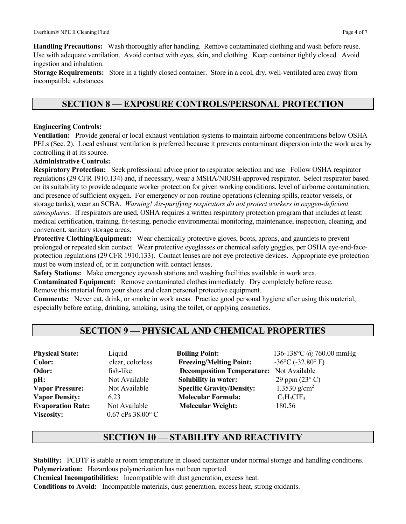**Handling Precautions:** Wash thoroughly after handling. Remove contaminated clothing and wash before reuse. Use with adequate ventilation. Avoid contact with eyes, skin, and clothing. Keep container tightly closed. Avoid ingestion and inhalation.

**Storage Requirements:** Store in a tightly closed container. Store in a cool, dry, well-ventilated area away from incompatible substances.

### **SECTION 8 — EXPOSURE CONTROLS/PERSONAL PROTECTION**

#### **Engineering Controls:**

**Ventilation:** Provide general or local exhaust ventilation systems to maintain airborne concentrations below OSHA PELs (Sec. 2). Local exhaust ventilation is preferred because it prevents contaminant dispersion into the work area by controlling it at its source.

#### **Administrative Controls:**

**Respiratory Protection:** Seek professional advice prior to respirator selection and use. Follow OSHA respirator regulations (29 CFR 1910.134) and, if necessary, wear a MSHA/NIOSH-approved respirator. Select respirator based on its suitability to provide adequate worker protection for given working conditions, level of airborne contamination, and presence of sufficient oxygen. For emergency or non-routine operations (cleaning spills, reactor vessels, or storage tanks), wear an SCBA. *Warning! Air-purifying respirators do not protect workers in oxygen-deficient atmospheres.* If respirators are used, OSHA requires a written respiratory protection program that includes at least: medical certification, training, fit-testing, periodic environmental monitoring, maintenance, inspection, cleaning, and convenient, sanitary storage areas.

**Protective Clothing/Equipment:** Wear chemically protective gloves, boots, aprons, and gauntlets to prevent prolonged or repeated skin contact. Wear protective eyeglasses or chemical safety goggles, per OSHA eye-and-faceprotection regulations (29 CFR 1910.133). Contact lenses are not eye protective devices. Appropriate eye protection must be worn instead of, or in conjunction with contact lenses.

**Safety Stations:** Make emergency eyewash stations and washing facilities available in work area.

**Contaminated Equipment:** Remove contaminated clothes immediately. Dry completely before reuse.

Remove this material from your shoes and clean personal protective equipment.

**Comments:** Never eat, drink, or smoke in work areas. Practice good personal hygiene after using this material, especially before eating, drinking, smoking, using the toilet, or applying cosmetics.

### **SECTION 9 — PHYSICAL AND CHEMICAL PROPERTIES**

**Viscosity:** 0.67 cPs 38.00° C

**Physical State:** Liquid **Boiling Point:** 136-138°C @ 760.00 mmHg **Color: clear, colorless Freezing/Melting Point:**  $-36^{\circ}C$  (-32.80° F) **Odor:** fish-like **Decomposition Temperature:** Not Available **pH:** Not Available **Solubility in water:** 29 ppm (23° C) **Vapor Pressure:** Not Available **Specific Gravity/Density:** 1.3530 g/cm<sup>2</sup> **Vapor Density:** 6.23 **Molecular Formula:** C7H4CIF3 **Evaporation Rate:** Not Available **Molecular Weight:** 180.56

### **SECTION 10 — STABILITY AND REACTIVITY**

**Stability:** PCBTF is stable at room temperature in closed container under normal storage and handling conditions. **Polymerization:** Hazardous polymerization has not been reported.

**Chemical Incompatibilities:** Incompatible with dust generation, excess heat.

**Conditions to Avoid:** Incompatible materials, dust generation, excess heat, strong oxidants.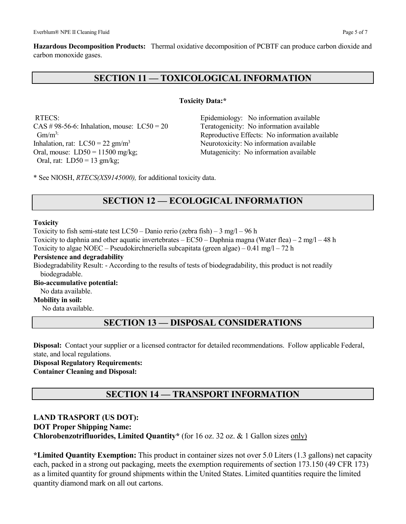**Hazardous Decomposition Products:** Thermal oxidative decomposition of PCBTF can produce carbon dioxide and carbon monoxide gases.

### **SECTION 11 — TOXICOLOGICAL INFORMATION**

#### **Toxicity Data:\***

 $CAS \# 98-56-6$ : Inhalation, mouse:  $LC50 = 20$  Teratogenicity: No information available Inhalation, rat:  $LC50 = 22$  gm/m<sup>3</sup> Neurotoxicity: No information available Oral, mouse:  $LD50 = 11500 \text{ mg/kg}$ ; Mutagenicity: No information available Oral, rat: LD50 = 13 gm/kg;

RTECS: Epidemiology: No information available  $Gm/m<sup>3</sup>$ ; Reproductive Effects: No information available

\* See NIOSH, *RTECS(XS9145000),* for additional toxicity data.

# **SECTION 12 — ECOLOGICAL INFORMATION**

#### **Toxicity**

Toxicity to fish semi-state test LC50 – Danio rerio (zebra fish) – 3 mg/l – 96 h Toxicity to daphnia and other aquatic invertebrates – EC50 – Daphnia magna (Water flea) – 2 mg/l – 48 h Toxicity to algae NOEC – Pseudokirchneriella subcapitata (green algae) –  $0.41 \text{ mg/l} - 72 \text{ h}$ **Persistence and degradability**

Biodegradability Result: - According to the results of tests of biodegradability, this product is not readily biodegradable.

**Bio-accumulative potential:**

No data available.

**Mobility in soil:**

No data available.

### **SECTION 13 — DISPOSAL CONSIDERATIONS**

**Disposal:** Contact your supplier or a licensed contractor for detailed recommendations. Follow applicable Federal, state, and local regulations.

**Disposal Regulatory Requirements: Container Cleaning and Disposal:**

# **SECTION 14 — TRANSPORT INFORMATION**

#### **LAND TRASPORT (US DOT):**

**DOT Proper Shipping Name:**

**Chlorobenzotrifluorides, Limited Quantity\*** (for 16 oz. 32 oz. & 1 Gallon sizes only)

**\*Limited Quantity Exemption:** This product in container sizes not over 5.0 Liters (1.3 gallons) net capacity each, packed in a strong out packaging, meets the exemption requirements of section 173.150 (49 CFR 173) as a limited quantity for ground shipments within the United States. Limited quantities require the limited quantity diamond mark on all out cartons.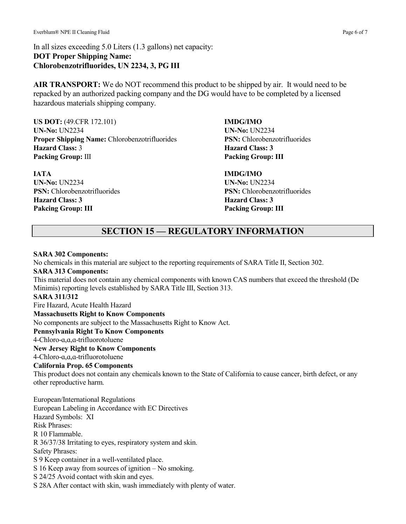In all sizes exceeding 5.0 Liters (1.3 gallons) net capacity: **DOT Proper Shipping Name: Chlorobenzotrifluorides, UN 2234, 3, PG III**

**AIR TRANSPORT:** We do NOT recommend this product to be shipped by air. It would need to be repacked by an authorized packing company and the DG would have to be completed by a licensed hazardous materials shipping company.

**US DOT:** (49.CFR 172.101) **IMDG/IMO UN-No:** UN2234 **UN-No:** UN2234 **Proper Shipping Name:** Chlorobenzotrifluorides **PSN:** Chlorobenzotrifluorides **Hazard Class:** 3 **Hazard Class: 3 Packing Group:** III **Packing Group: III**

**IATA IMDG/IMO UN-No:** UN2234 **UN-No:** UN2234 **PSN:** Chlorobenzotrifluorides **PSN:** Chlorobenzotrifluorides **Hazard Class: 3 Hazard Class: 3 Pakcing Group: III Packing Group: III**

# **SECTION 15 — REGULATORY INFORMATION**

#### **SARA 302 Components:**

No chemicals in this material are subject to the reporting requirements of SARA Title II, Section 302. **SARA 313 Components:** This material does not contain any chemical components with known CAS numbers that exceed the threshold (De Minimis) reporting levels established by SARA Title III, Section 313. **SARA 311/312** Fire Hazard, Acute Health Hazard **Massachusetts Right to Know Components** No components are subject to the Massachusetts Right to Know Act. **Pennsylvania Right To Know Components** 4-Chloro-ɑ,ɑ,ɑ-trifluorotoluene **New Jersey Right to Know Components** 4-Chloro-ɑ,ɑ,ɑ-trifluorotoluene **California Prop. 65 Components** This product does not contain any chemicals known to the State of California to cause cancer, birth defect, or any other reproductive harm. European/International Regulations European Labeling in Accordance with EC Directives Hazard Symbols: XI Risk Phrases: R 10 Flammable. R 36/37/38 Irritating to eyes, respiratory system and skin. Safety Phrases: S 9 Keep container in a well-ventilated place. S 16 Keep away from sources of ignition – No smoking. S 24/25 Avoid contact with skin and eyes. S 28A After contact with skin, wash immediately with plenty of water.